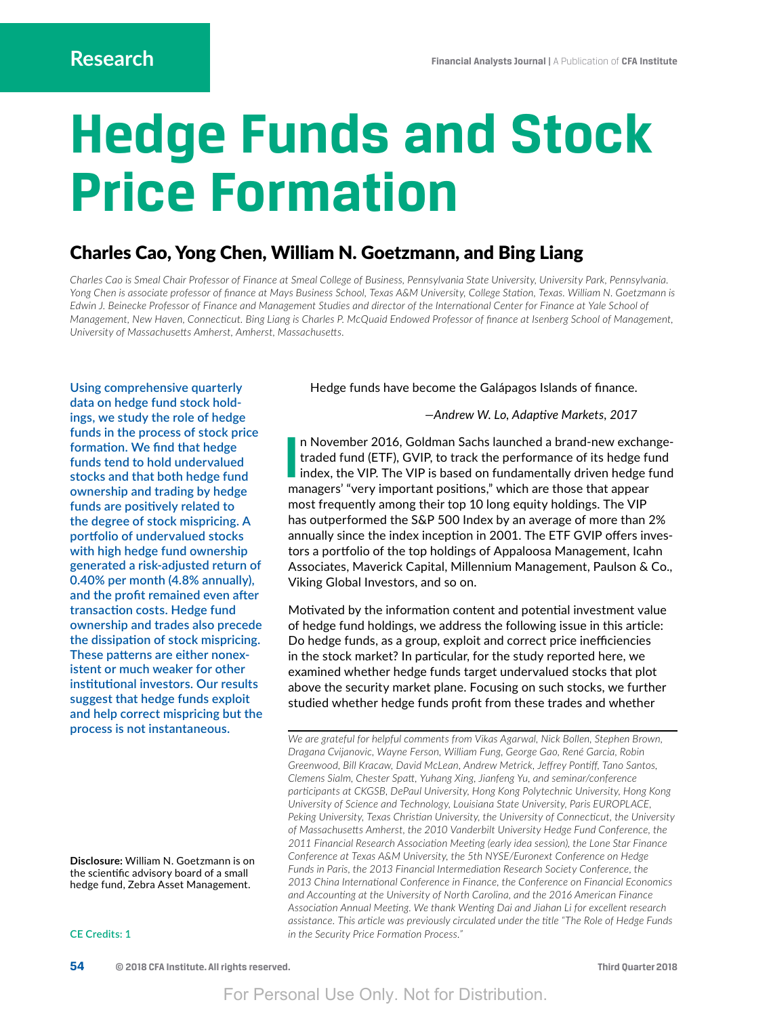# **Hedge Funds and Stock Price Formation**

# Charles Cao, Yong Chen, William N. Goetzmann, and Bing Liang

*Charles Cao is Smeal Chair Professor of Finance at Smeal College of Business, Pennsylvania State University, University Park, Pennsylvania. Yong Chen is associate professor of finance at Mays Business School, Texas A&M University, College Station, Texas. William N. Goetzmann is Edwin J. Beinecke Professor of Finance and Management Studies and director of the International Center for Finance at Yale School of Management, New Haven, Connecticut. Bing Liang is Charles P. McQuaid Endowed Professor of finance at Isenberg School of Management, University of Massachusetts Amherst, Amherst, Massachusetts.* 

**Using comprehensive quarterly data on hedge fund stock holdings, we study the role of hedge funds in the process of stock price formation. We find that hedge funds tend to hold undervalued stocks and that both hedge fund ownership and trading by hedge funds are positively related to the degree of stock mispricing. A portfolio of undervalued stocks with high hedge fund ownership generated a risk-adjusted return of 0.40% per month (4.8% annually), and the profit remained even after transaction costs. Hedge fund ownership and trades also precede the dissipation of stock mispricing. These patterns are either nonexistent or much weaker for other institutional investors. Our results suggest that hedge funds exploit and help correct mispricing but the process is not instantaneous.**

Hedge funds have become the Galápagos Islands of finance.

*—Andrew W. Lo, Adaptive Markets, 2017*

**I** n November 2016, Goldman Sachs launched a brand-new exchangetraded fund (ETF), GVIP, to track the performance of its hedge fund index, the VIP. The VIP is based on fundamentally driven hedge fund managers' "very important positions," which are those that appear most frequently among their top 10 long equity holdings. The VIP has outperformed the S&P 500 Index by an average of more than 2% annually since the index inception in 2001. The ETF GVIP offers investors a portfolio of the top holdings of Appaloosa Management, Icahn Associates, Maverick Capital, Millennium Management, Paulson & Co., Viking Global Investors, and so on.

Motivated by the information content and potential investment value of hedge fund holdings, we address the following issue in this article: Do hedge funds, as a group, exploit and correct price inefficiencies in the stock market? In particular, for the study reported here, we examined whether hedge funds target undervalued stocks that plot above the security market plane. Focusing on such stocks, we further studied whether hedge funds profit from these trades and whether

*We are grateful for helpful comments from Vikas Agarwal, Nick Bollen, Stephen Brown, Dragana Cvijanovic, Wayne Ferson, William Fung, George Gao, René Garcia, Robin Greenwood, Bill Kracaw, David McLean, Andrew Metrick, Jeffrey Pontiff, Tano Santos, Clemens Sialm, Chester Spatt, Yuhang Xing, Jianfeng Yu, and seminar/conference participants at CKGSB, DePaul University, Hong Kong Polytechnic University, Hong Kong University of Science and Technology, Louisiana State University, Paris EUROPLACE, Peking University, Texas Christian University, the University of Connecticut, the University of Massachusetts Amherst, the 2010 Vanderbilt University Hedge Fund Conference, the 2011 Financial Research Association Meeting (early idea session), the Lone Star Finance Conference at Texas A&M University, the 5th NYSE/Euronext Conference on Hedge*  Funds in Paris, the 2013 Financial Intermediation Research Society Conference, the *2013 China International Conference in Finance, the Conference on Financial Economics and Accounting at the University of North Carolina, and the 2016 American Finance Association Annual Meeting. We thank Wenting Dai and Jiahan Li for excellent research assistance. This article was previously circulated under the title "The Role of Hedge Funds in the Security Price Formation Process."*

**Disclosure:** William N. Goetzmann is on the scientific advisory board of a small hedge fund, Zebra Asset Management.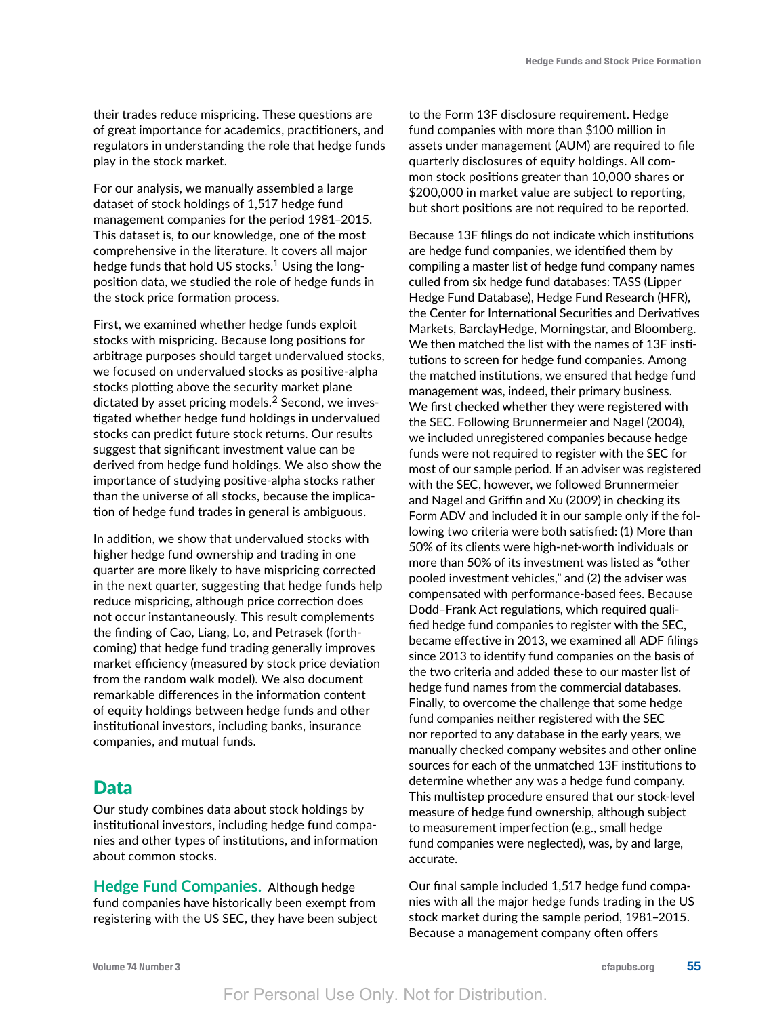their trades reduce mispricing. These questions are of great importance for academics, practitioners, and regulators in understanding the role that hedge funds play in the stock market.

For our analysis, we manually assembled a large dataset of stock holdings of 1,517 hedge fund management companies for the period 1981–2015. This dataset is, to our knowledge, one of the most comprehensive in the literature. It covers all major hedge funds that hold US stocks.<sup>1</sup> Using the longposition data, we studied the role of hedge funds in the stock price formation process.

First, we examined whether hedge funds exploit stocks with mispricing. Because long positions for arbitrage purposes should target undervalued stocks, we focused on undervalued stocks as positive-alpha stocks plotting above the security market plane dictated by asset pricing models.<sup>2</sup> Second, we investigated whether hedge fund holdings in undervalued stocks can predict future stock returns. Our results suggest that significant investment value can be derived from hedge fund holdings. We also show the importance of studying positive-alpha stocks rather than the universe of all stocks, because the implication of hedge fund trades in general is ambiguous.

In addition, we show that undervalued stocks with higher hedge fund ownership and trading in one quarter are more likely to have mispricing corrected in the next quarter, suggesting that hedge funds help reduce mispricing, although price correction does not occur instantaneously. This result complements the finding of Cao, Liang, Lo, and Petrasek (forthcoming) that hedge fund trading generally improves market efficiency (measured by stock price deviation from the random walk model). We also document remarkable differences in the information content of equity holdings between hedge funds and other institutional investors, including banks, insurance companies, and mutual funds.

# Data

Our study combines data about stock holdings by institutional investors, including hedge fund companies and other types of institutions, and information about common stocks.

**Hedge Fund Companies.** Although hedge fund companies have historically been exempt from registering with the US SEC, they have been subject to the Form 13F disclosure requirement. Hedge fund companies with more than \$100 million in assets under management (AUM) are required to file quarterly disclosures of equity holdings. All common stock positions greater than 10,000 shares or \$200,000 in market value are subject to reporting, but short positions are not required to be reported.

Because 13F filings do not indicate which institutions are hedge fund companies, we identified them by compiling a master list of hedge fund company names culled from six hedge fund databases: TASS (Lipper Hedge Fund Database), Hedge Fund Research (HFR), the Center for International Securities and Derivatives Markets, BarclayHedge, Morningstar, and Bloomberg. We then matched the list with the names of 13F institutions to screen for hedge fund companies. Among the matched institutions, we ensured that hedge fund management was, indeed, their primary business. We first checked whether they were registered with the SEC. Following Brunnermeier and Nagel (2004), we included unregistered companies because hedge funds were not required to register with the SEC for most of our sample period. If an adviser was registered with the SEC, however, we followed Brunnermeier and Nagel and Griffin and Xu (2009) in checking its Form ADV and included it in our sample only if the following two criteria were both satisfied: (1) More than 50% of its clients were high-net-worth individuals or more than 50% of its investment was listed as "other pooled investment vehicles," and (2) the adviser was compensated with performance-based fees. Because Dodd–Frank Act regulations, which required qualified hedge fund companies to register with the SEC, became effective in 2013, we examined all ADF filings since 2013 to identify fund companies on the basis of the two criteria and added these to our master list of hedge fund names from the commercial databases. Finally, to overcome the challenge that some hedge fund companies neither registered with the SEC nor reported to any database in the early years, we manually checked company websites and other online sources for each of the unmatched 13F institutions to determine whether any was a hedge fund company. This multistep procedure ensured that our stock-level measure of hedge fund ownership, although subject to measurement imperfection (e.g., small hedge fund companies were neglected), was, by and large, accurate.

Our final sample included 1,517 hedge fund companies with all the major hedge funds trading in the US stock market during the sample period, 1981–2015. Because a management company often offers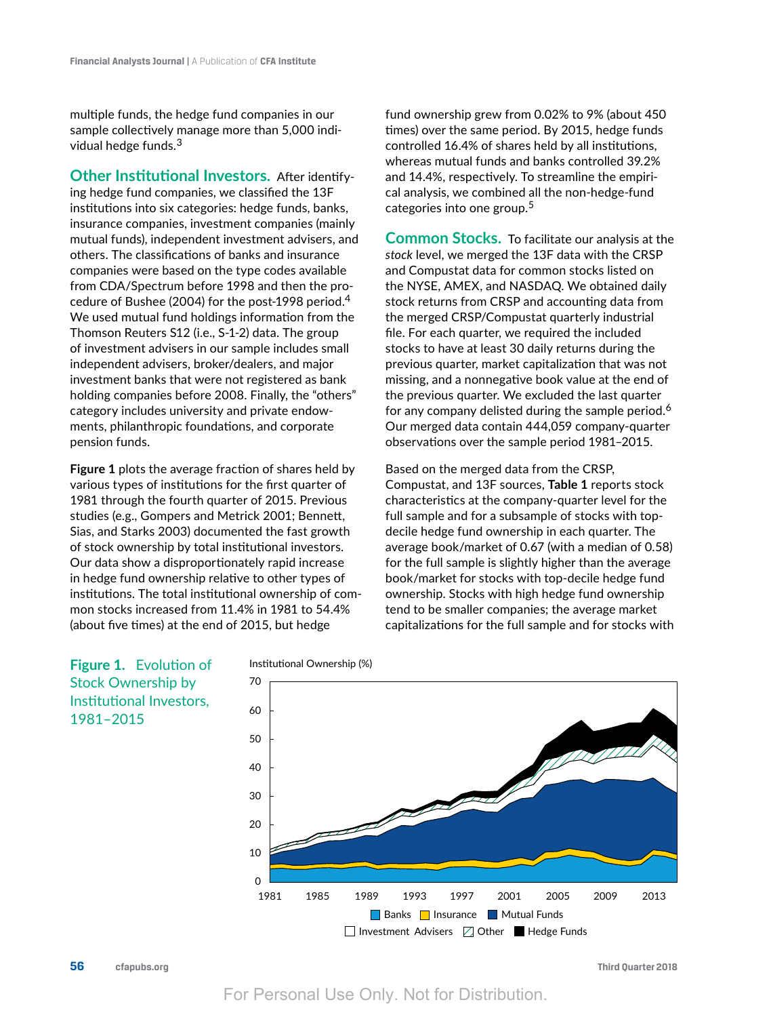multiple funds, the hedge fund companies in our sample collectively manage more than 5,000 individual hedge funds.<sup>3</sup>

**Other Institutional Investors.** After identifying hedge fund companies, we classified the 13F institutions into six categories: hedge funds, banks, insurance companies, investment companies (mainly mutual funds), independent investment advisers, and others. The classifications of banks and insurance companies were based on the type codes available from CDA/Spectrum before 1998 and then the procedure of Bushee (2004) for the post-1998 period.<sup>4</sup> We used mutual fund holdings information from the Thomson Reuters S12 (i.e., S-1-2) data. The group of investment advisers in our sample includes small independent advisers, broker/dealers, and major investment banks that were not registered as bank holding companies before 2008. Finally, the "others" category includes university and private endowments, philanthropic foundations, and corporate pension funds.

**Figure 1** plots the average fraction of shares held by various types of institutions for the first quarter of 1981 through the fourth quarter of 2015. Previous studies (e.g., Gompers and Metrick 2001; Bennett, Sias, and Starks 2003) documented the fast growth of stock ownership by total institutional investors. Our data show a disproportionately rapid increase in hedge fund ownership relative to other types of institutions. The total institutional ownership of common stocks increased from 11.4% in 1981 to 54.4% (about five times) at the end of 2015, but hedge

fund ownership grew from 0.02% to 9% (about 450 times) over the same period. By 2015, hedge funds controlled 16.4% of shares held by all institutions, whereas mutual funds and banks controlled 39.2% and 14.4%, respectively. To streamline the empirical analysis, we combined all the non-hedge-fund categories into one group.<sup>5</sup>

**Common Stocks.** To facilitate our analysis at the *stock* level, we merged the 13F data with the CRSP and Compustat data for common stocks listed on the NYSE, AMEX, and NASDAQ. We obtained daily stock returns from CRSP and accounting data from the merged CRSP/Compustat quarterly industrial file. For each quarter, we required the included stocks to have at least 30 daily returns during the previous quarter, market capitalization that was not missing, and a nonnegative book value at the end of the previous quarter. We excluded the last quarter for any company delisted during the sample period.<sup>6</sup> Our merged data contain 444,059 company-quarter observations over the sample period 1981–2015.

Based on the merged data from the CRSP, Compustat, and 13F sources, **Table 1** reports stock characteristics at the company-quarter level for the full sample and for a subsample of stocks with topdecile hedge fund ownership in each quarter. The average book/market of 0.67 (with a median of 0.58) for the full sample is slightly higher than the average book/market for stocks with top-decile hedge fund ownership. Stocks with high hedge fund ownership tend to be smaller companies; the average market capitalizations for the full sample and for stocks with

# Institutional Ownership (%) 70 60 50 JANIE 40 30 20 10  $\Omega$ 1981 1985 1989 1993 1997 2001 2005 2009 2013 Banks | Insurance | Mutual Funds  $\Box$  Investment Advisers  $\Box$  Other  $\blacksquare$  Hedge Funds

**Figure 1.** Evolution of Stock Ownership by Institutional Investors, 1981–2015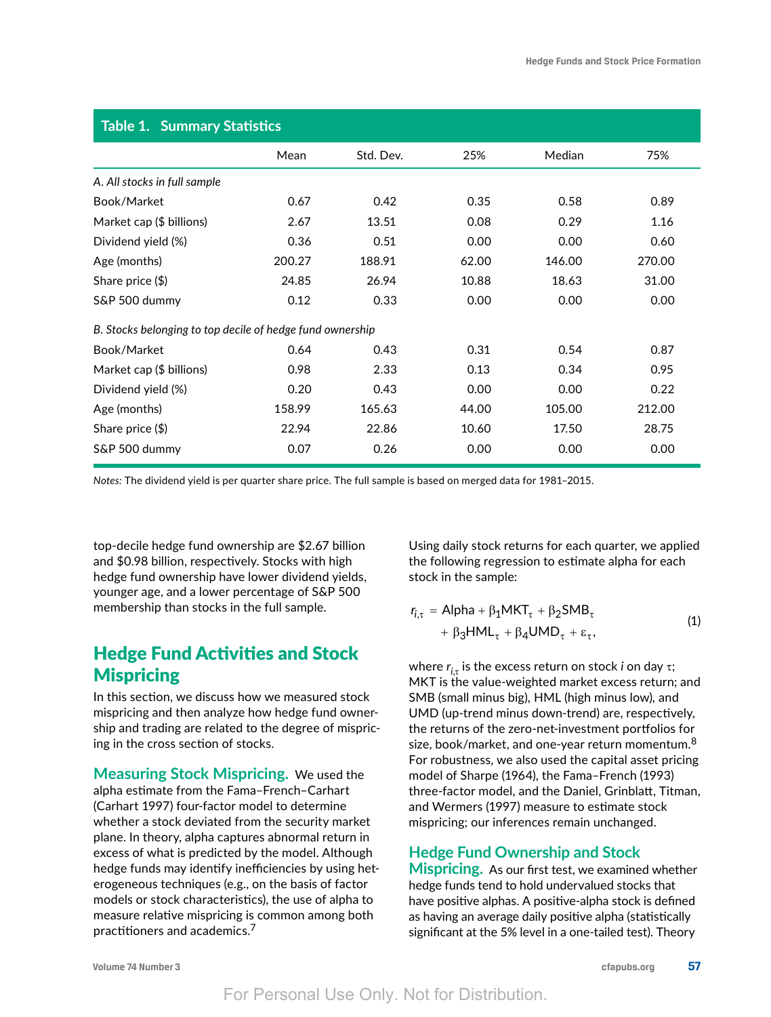| <b>Table 1. Summary Statistics</b>                        |        |           |       |        |        |  |  |
|-----------------------------------------------------------|--------|-----------|-------|--------|--------|--|--|
|                                                           | Mean   | Std. Dev. | 25%   | Median | 75%    |  |  |
| A. All stocks in full sample                              |        |           |       |        |        |  |  |
| Book/Market                                               | 0.67   | 0.42      | 0.35  | 0.58   | 0.89   |  |  |
| Market cap (\$ billions)                                  | 2.67   | 13.51     | 0.08  | 0.29   | 1.16   |  |  |
| Dividend yield (%)                                        | 0.36   | 0.51      | 0.00  | 0.00   | 0.60   |  |  |
| Age (months)                                              | 200.27 | 188.91    | 62.00 | 146.00 | 270.00 |  |  |
| Share price (\$)                                          | 24.85  | 26.94     | 10.88 | 18.63  | 31.00  |  |  |
| S&P 500 dummy                                             | 0.12   | 0.33      | 0.00  | 0.00   | 0.00   |  |  |
| B. Stocks belonging to top decile of hedge fund ownership |        |           |       |        |        |  |  |
| Book/Market                                               | 0.64   | 0.43      | 0.31  | 0.54   | 0.87   |  |  |
| Market cap (\$ billions)                                  | 0.98   | 2.33      | 0.13  | 0.34   | 0.95   |  |  |
| Dividend yield (%)                                        | 0.20   | 0.43      | 0.00  | 0.00   | 0.22   |  |  |
| Age (months)                                              | 158.99 | 165.63    | 44.00 | 105.00 | 212.00 |  |  |
| Share price $(\$)$                                        | 22.94  | 22.86     | 10.60 | 17.50  | 28.75  |  |  |
| S&P 500 dummy                                             | 0.07   | 0.26      | 0.00  | 0.00   | 0.00   |  |  |

*Notes:* The dividend yield is per quarter share price. The full sample is based on merged data for 1981–2015.

top-decile hedge fund ownership are \$2.67 billion and \$0.98 billion, respectively. Stocks with high hedge fund ownership have lower dividend yields, younger age, and a lower percentage of S&P 500 membership than stocks in the full sample.

# Hedge Fund Activities and Stock **Mispricing**

In this section, we discuss how we measured stock mispricing and then analyze how hedge fund ownership and trading are related to the degree of mispricing in the cross section of stocks.

**Measuring Stock Mispricing.** We used the alpha estimate from the Fama–French–Carhart (Carhart 1997) four-factor model to determine whether a stock deviated from the security market plane. In theory, alpha captures abnormal return in excess of what is predicted by the model. Although hedge funds may identify inefficiencies by using heterogeneous techniques (e.g., on the basis of factor models or stock characteristics), the use of alpha to measure relative mispricing is common among both practitioners and academics.<sup>7</sup>

Using daily stock returns for each quarter, we applied the following regression to estimate alpha for each stock in the sample:

$$
r_{i,\tau} = \text{Alpha} + \beta_1 \text{MKT}_{\tau} + \beta_2 \text{SMB}_{\tau} + \beta_3 \text{HML}_{\tau} + \beta_4 \text{UMD}_{\tau} + \varepsilon_{\tau},
$$
\n(1)

where  $r_{i\tau}$  is the excess return on stock *i* on day  $\tau$ ; MKT is the value-weighted market excess return; and SMB (small minus big)*,* HML (high minus low)*,* and UMD (up-trend minus down-trend) are, respectively, the returns of the zero-net-investment portfolios for size, book/market, and one-year return momentum. $8$ For robustness, we also used the capital asset pricing model of Sharpe (1964), the Fama–French (1993) three-factor model, and the Daniel, Grinblatt, Titman, and Wermers (1997) measure to estimate stock mispricing; our inferences remain unchanged.

### **Hedge Fund Ownership and Stock**

**Mispricing.** As our first test, we examined whether hedge funds tend to hold undervalued stocks that have positive alphas. A positive-alpha stock is defined as having an average daily positive alpha (statistically significant at the 5% level in a one-tailed test). Theory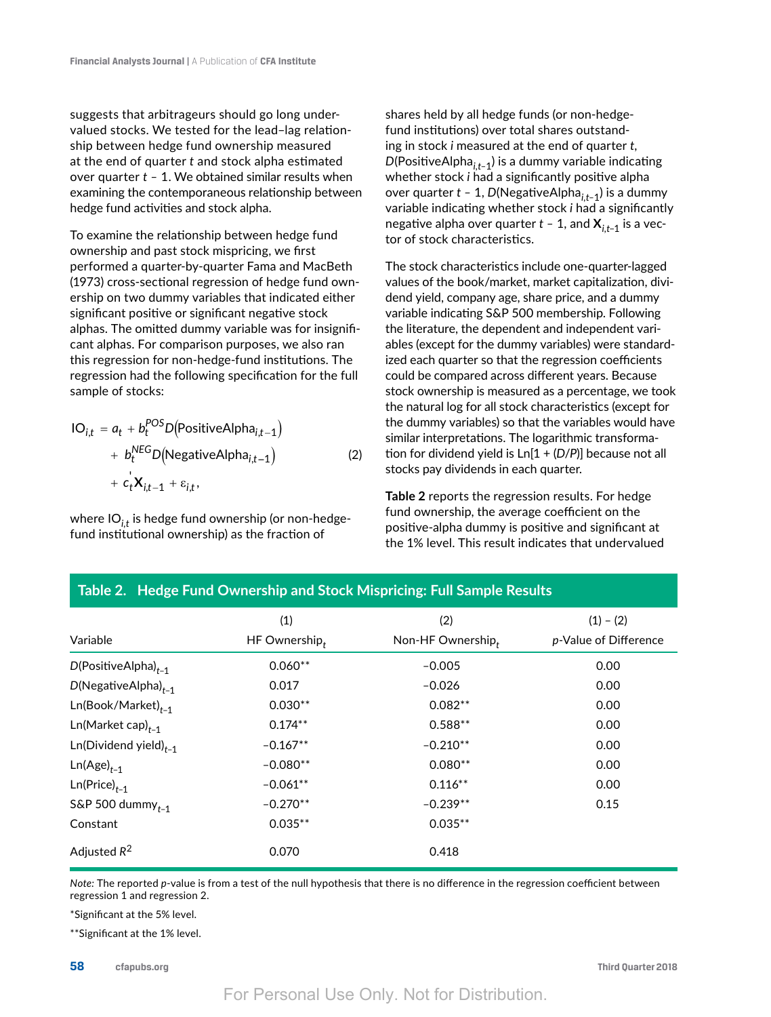suggests that arbitrageurs should go long undervalued stocks. We tested for the lead–lag relationship between hedge fund ownership measured at the end of quarter *t* and stock alpha estimated over quarter *t –* 1. We obtained similar results when examining the contemporaneous relationship between hedge fund activities and stock alpha.

To examine the relationship between hedge fund ownership and past stock mispricing, we first performed a quarter-by-quarter Fama and MacBeth (1973) cross-sectional regression of hedge fund ownership on two dummy variables that indicated either significant positive or significant negative stock alphas. The omitted dummy variable was for insignificant alphas. For comparison purposes, we also ran this regression for non-hedge-fund institutions. The regression had the following specification for the full sample of stocks:

$$
IO_{i,t} = a_t + b_t^{POS}D(PositiveAlpha_{i,t-1})
$$
  
+  $b_t^{NEG}D(NegativeAlpha_{i,t-1})$   
+  $c_t^{'}X_{i,t-1} + \varepsilon_{i,t}$ , (2)

where IO*i,t* is hedge fund ownership (or non-hedgefund institutional ownership) as the fraction of

shares held by all hedge funds (or non-hedgefund institutions) over total shares outstanding in stock *i* measured at the end of quarter *t*, *D*(PositiveAlpha<sub>it–1</sub>) is a dummy variable indicating whether stock *i* had a significantly positive alpha over quarter *t –* 1, *D*(NegativeAlpha*i,t–*1) is a dummy variable indicating whether stock *i* had a significantly negative alpha over quarter  $t - 1$ , and  $X_{i,t-1}$  is a vector of stock characteristics.

The stock characteristics include one-quarter-lagged values of the book/market, market capitalization, dividend yield, company age, share price, and a dummy variable indicating S&P 500 membership. Following the literature, the dependent and independent variables (except for the dummy variables) were standardized each quarter so that the regression coefficients could be compared across different years. Because stock ownership is measured as a percentage, we took the natural log for all stock characteristics (except for the dummy variables) so that the variables would have similar interpretations. The logarithmic transformation for dividend yield is Ln[1 + (*D*/*P*)] because not all stocks pay dividends in each quarter.

**Table 2** reports the regression results. For hedge fund ownership, the average coefficient on the positive-alpha dummy is positive and significant at the 1% level. This result indicates that undervalued

| Variable                   | (1)<br>HF Ownership, | (2)<br>Non-HF Ownership, | $(1) - (2)$<br>p-Value of Difference |
|----------------------------|----------------------|--------------------------|--------------------------------------|
| $D(PositiveAlpha)_{t-1}$   | $0.060**$            | $-0.005$                 | 0.00                                 |
| $D(NegativeAlpha)_{t-1}$   | 0.017                | $-0.026$                 | 0.00                                 |
| $Ln(Book/Marker)_{t-1}$    | $0.030**$            | $0.082**$                | 0.00                                 |
| $Ln(Marker cap)_{t-1}$     | $0.174**$            | $0.588**$                | 0.00                                 |
| $Ln(Dividend yield)_{t-1}$ | $-0.167**$           | $-0.210**$               | 0.00                                 |
| $Ln(Age)_{t-1}$            | $-0.080**$           | $0.080**$                | 0.00                                 |
| $Ln(Price)_{t-1}$          | $-0.061**$           | $0.116**$                | 0.00                                 |
| S&P 500 dummy $_{t-1}$     | $-0.270**$           | $-0.239**$               | 0.15                                 |
| Constant                   | $0.035**$            | $0.035**$                |                                      |
| Adjusted $R^2$             | 0.070                | 0.418                    |                                      |

**Table 2. Hedge Fund Ownership and Stock Mispricing: Full Sample Results**

*Note:* The reported *p*-value is from a test of the null hypothesis that there is no difference in the regression coefficient between regression 1 and regression 2.

\*Significant at the 5% level.

\*\*Significant at the 1% level.

**58 cfapubs.org Third Quarter 2018**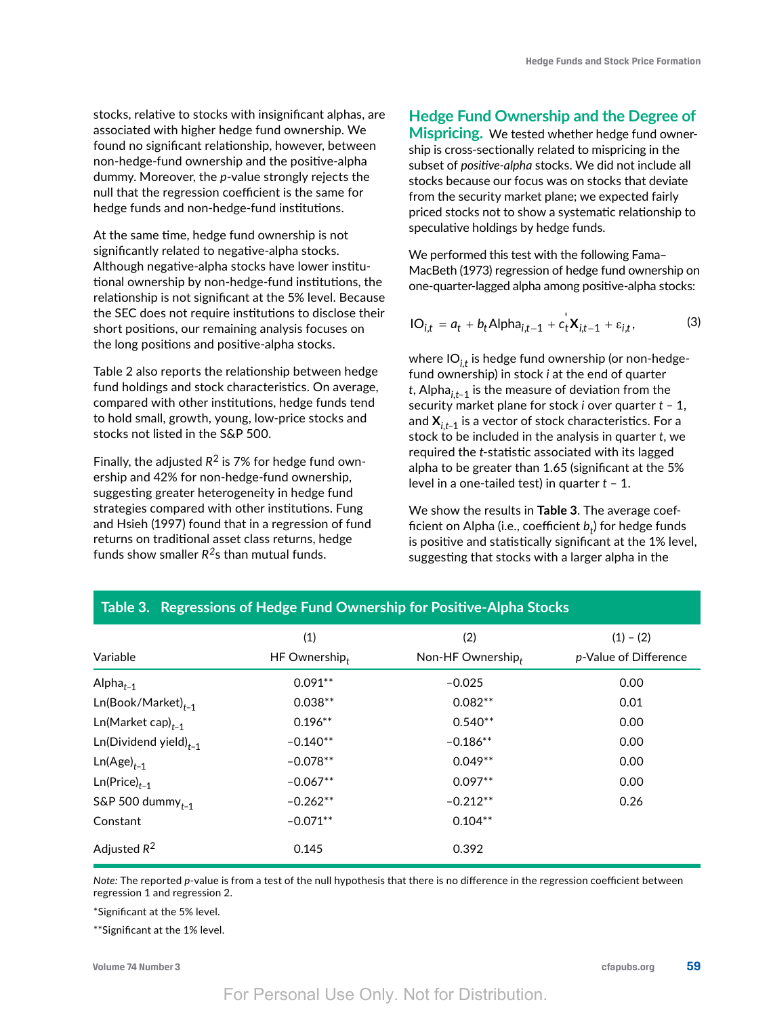stocks, relative to stocks with insignificant alphas, are associated with higher hedge fund ownership. We found no significant relationship, however, between non-hedge-fund ownership and the positive-alpha dummy. Moreover, the *p*-value strongly rejects the null that the regression coefficient is the same for hedge funds and non-hedge-fund institutions.

At the same time, hedge fund ownership is not significantly related to negative-alpha stocks. Although negative-alpha stocks have lower institutional ownership by non-hedge-fund institutions, the relationship is not significant at the 5% level. Because the SEC does not require institutions to disclose their short positions, our remaining analysis focuses on the long positions and positive-alpha stocks.

Table 2 also reports the relationship between hedge fund holdings and stock characteristics. On average, compared with other institutions, hedge funds tend to hold small, growth, young, low-price stocks and stocks not listed in the S&P 500.

Finally, the adjusted  $R^2$  is 7% for hedge fund ownership and 42% for non-hedge-fund ownership, suggesting greater heterogeneity in hedge fund strategies compared with other institutions. Fung and Hsieh (1997) found that in a regression of fund returns on traditional asset class returns, hedge funds show smaller *R2*s than mutual funds.

# **Hedge Fund Ownership and the Degree of**

**Mispricing.** We tested whether hedge fund ownership is cross-sectionally related to mispricing in the subset of *positive-alpha* stocks. We did not include all stocks because our focus was on stocks that deviate from the security market plane; we expected fairly priced stocks not to show a systematic relationship to speculative holdings by hedge funds.

We performed this test with the following Fama– MacBeth (1973) regression of hedge fund ownership on one-quarter-lagged alpha among positive-alpha stocks:

$$
IO_{i,t} = a_t + b_t \text{Alpha}_{i,t-1} + c_t^{\dagger} X_{i,t-1} + \varepsilon_{i,t},
$$
\n(3)

where IO<sub>it</sub> is hedge fund ownership (or non-hedgefund ownership) in stock *i* at the end of quarter *t*, Alpha*i,t–*1 is the measure of deviation from the security market plane for stock *i* over quarter *t –* 1, and **X***i,t*–1 is a vector of stock characteristics. For a stock to be included in the analysis in quarter *t*, we required the *t*-statistic associated with its lagged alpha to be greater than 1.65 (significant at the 5% level in a one-tailed test) in quarter *t* – 1.

We show the results in **Table 3**. The average coefficient on Alpha (i.e., coefficient  $b_t$ ) for hedge funds is positive and statistically significant at the 1% level, suggesting that stocks with a larger alpha in the

| Variable                   | (1)<br>HF Ownership, | (2)<br>Non-HF Ownership, | $(1) - (2)$<br>p-Value of Difference |
|----------------------------|----------------------|--------------------------|--------------------------------------|
| Alpha $_{t-1}$             | $0.091**$            | $-0.025$                 | 0.00                                 |
| $Ln(Book/Marker)_{t-1}$    | $0.038**$            | $0.082**$                | 0.01                                 |
| $Ln(Marker cap)_{t-1}$     | $0.196**$            | $0.540**$                | 0.00                                 |
| $Ln(Dividend yield)_{t-1}$ | $-0.140**$           | $-0.186**$               | 0.00                                 |
| $Ln(Age)_{t-1}$            | $-0.078**$           | $0.049**$                | 0.00                                 |
| $Ln(Price)_{t-1}$          | $-0.067**$           | $0.097**$                | 0.00                                 |
| S&P 500 dummy $_{t-1}$     | $-0.262**$           | $-0.212**$               | 0.26                                 |
| Constant                   | $-0.071**$           | $0.104**$                |                                      |
| Adjusted $R^2$             | 0.145                | 0.392                    |                                      |

#### **Table 3. Regressions of Hedge Fund Ownership for Positive-Alpha Stocks**

*Note:* The reported *p*-value is from a test of the null hypothesis that there is no difference in the regression coefficient between regression 1 and regression 2.

\*Significant at the 5% level.

\*\*Significant at the 1% level.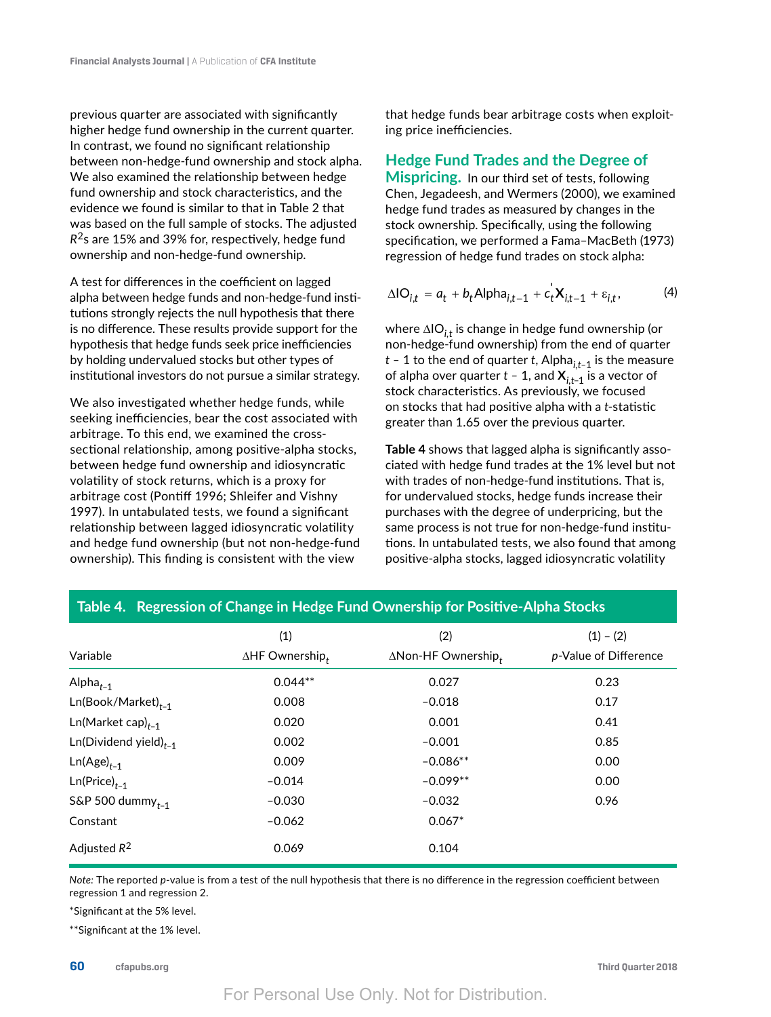previous quarter are associated with significantly higher hedge fund ownership in the current quarter. In contrast, we found no significant relationship between non-hedge-fund ownership and stock alpha. We also examined the relationship between hedge fund ownership and stock characteristics, and the evidence we found is similar to that in Table 2 that was based on the full sample of stocks. The adjusted *R*2s are 15% and 39% for, respectively, hedge fund ownership and non-hedge-fund ownership.

A test for differences in the coefficient on lagged alpha between hedge funds and non-hedge-fund institutions strongly rejects the null hypothesis that there is no difference. These results provide support for the hypothesis that hedge funds seek price inefficiencies by holding undervalued stocks but other types of institutional investors do not pursue a similar strategy.

We also investigated whether hedge funds, while seeking inefficiencies, bear the cost associated with arbitrage. To this end, we examined the crosssectional relationship, among positive-alpha stocks, between hedge fund ownership and idiosyncratic volatility of stock returns, which is a proxy for arbitrage cost (Pontiff 1996; Shleifer and Vishny 1997). In untabulated tests, we found a significant relationship between lagged idiosyncratic volatility and hedge fund ownership (but not non-hedge-fund ownership). This finding is consistent with the view

that hedge funds bear arbitrage costs when exploiting price inefficiencies.

### **Hedge Fund Trades and the Degree of**

**Mispricing.** In our third set of tests, following Chen, Jegadeesh, and Wermers (2000), we examined hedge fund trades as measured by changes in the stock ownership. Specifically, using the following specification, we performed a Fama–MacBeth (1973) regression of hedge fund trades on stock alpha:

$$
\Delta I O_{i,t} = a_t + b_t A I p h a_{i,t-1} + c_t^{\dagger} X_{i,t-1} + \varepsilon_{i,t},
$$
 (4)

where ΔIO<sub>*i*t</sub> is change in hedge fund ownership (or non-hedge-fund ownership) from the end of quarter *t –* 1 to the end of quarter *t*, Alpha*i,t–*1 is the measure of alpha over quarter *t –* 1, and **X***i,t*–1 is a vector of stock characteristics. As previously, we focused on stocks that had positive alpha with a *t*-statistic greater than 1.65 over the previous quarter.

**Table 4** shows that lagged alpha is significantly associated with hedge fund trades at the 1% level but not with trades of non-hedge-fund institutions. That is, for undervalued stocks, hedge funds increase their purchases with the degree of underpricing, but the same process is not true for non-hedge-fund institutions. In untabulated tests, we also found that among positive-alpha stocks, lagged idiosyncratic volatility

| Variable                   | (1)<br>$\Delta H$ F Ownership, | (2)<br>$\Delta$ Non-HF Ownership, | $(1) - (2)$<br>p-Value of Difference |
|----------------------------|--------------------------------|-----------------------------------|--------------------------------------|
| Alpha $_{t-1}$             | $0.044**$                      | 0.027                             | 0.23                                 |
| $Ln(Book/Marker)_{t-1}$    | 0.008                          | $-0.018$                          | 0.17                                 |
| $Ln(Marker cap)_{t-1}$     | 0.020                          | 0.001                             | 0.41                                 |
| $Ln(Dividend yield)_{t-1}$ | 0.002                          | $-0.001$                          | 0.85                                 |
| $Ln(Age)_{t-1}$            | 0.009                          | $-0.086**$                        | 0.00                                 |
| $Ln(Price)_{t-1}$          | $-0.014$                       | $-0.099**$                        | 0.00                                 |
| S&P 500 dummy $_{t-1}$     | $-0.030$                       | $-0.032$                          | 0.96                                 |
| Constant                   | $-0.062$                       | $0.067*$                          |                                      |
| Adjusted $R^2$             | 0.069                          | 0.104                             |                                      |

## **Table 4. Regression of Change in Hedge Fund Ownership for Positive-Alpha Stocks**

*Note:* The reported *p*-value is from a test of the null hypothesis that there is no difference in the regression coefficient between regression 1 and regression 2.

\*Significant at the 5% level.

\*\*Significant at the 1% level.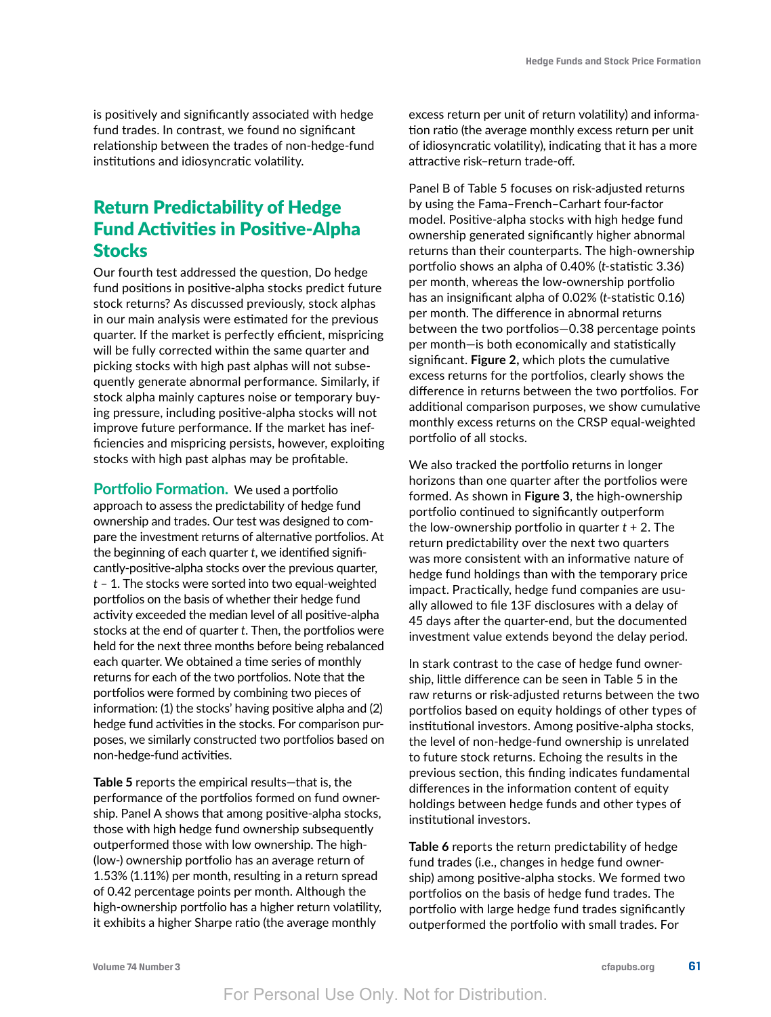is positively and significantly associated with hedge fund trades. In contrast, we found no significant relationship between the trades of non-hedge-fund institutions and idiosyncratic volatility.

# Return Predictability of Hedge Fund Activities in Positive-Alpha **Stocks**

Our fourth test addressed the question, Do hedge fund positions in positive-alpha stocks predict future stock returns? As discussed previously, stock alphas in our main analysis were estimated for the previous quarter. If the market is perfectly efficient, mispricing will be fully corrected within the same quarter and picking stocks with high past alphas will not subsequently generate abnormal performance. Similarly, if stock alpha mainly captures noise or temporary buying pressure, including positive-alpha stocks will not improve future performance. If the market has inefficiencies and mispricing persists, however, exploiting stocks with high past alphas may be profitable.

**Portfolio Formation.** We used a portfolio approach to assess the predictability of hedge fund ownership and trades. Our test was designed to compare the investment returns of alternative portfolios. At the beginning of each quarter *t*, we identified significantly-positive-alpha stocks over the previous quarter, *t* – 1. The stocks were sorted into two equal-weighted portfolios on the basis of whether their hedge fund activity exceeded the median level of all positive-alpha stocks at the end of quarter *t*. Then, the portfolios were held for the next three months before being rebalanced each quarter. We obtained a time series of monthly returns for each of the two portfolios. Note that the portfolios were formed by combining two pieces of information: (1) the stocks' having positive alpha and (2) hedge fund activities in the stocks. For comparison purposes, we similarly constructed two portfolios based on non-hedge-fund activities.

**Table 5** reports the empirical results—that is, the performance of the portfolios formed on fund ownership. Panel A shows that among positive-alpha stocks, those with high hedge fund ownership subsequently outperformed those with low ownership. The high- (low-) ownership portfolio has an average return of 1.53% (1.11%) per month, resulting in a return spread of 0.42 percentage points per month. Although the high-ownership portfolio has a higher return volatility, it exhibits a higher Sharpe ratio (the average monthly

excess return per unit of return volatility) and information ratio (the average monthly excess return per unit of idiosyncratic volatility), indicating that it has a more attractive risk–return trade-off.

Panel B of Table 5 focuses on risk-adjusted returns by using the Fama–French–Carhart four-factor model. Positive-alpha stocks with high hedge fund ownership generated significantly higher abnormal returns than their counterparts. The high-ownership portfolio shows an alpha of 0.40% (*t*-statistic 3.36) per month, whereas the low-ownership portfolio has an insignificant alpha of 0.02% (*t*-statistic 0.16) per month. The difference in abnormal returns between the two portfolios—0.38 percentage points per month—is both economically and statistically significant. **Figure 2,** which plots the cumulative excess returns for the portfolios, clearly shows the difference in returns between the two portfolios. For additional comparison purposes, we show cumulative monthly excess returns on the CRSP equal-weighted portfolio of all stocks.

We also tracked the portfolio returns in longer horizons than one quarter after the portfolios were formed. As shown in **Figure 3**, the high-ownership portfolio continued to significantly outperform the low-ownership portfolio in quarter *t* + 2. The return predictability over the next two quarters was more consistent with an informative nature of hedge fund holdings than with the temporary price impact. Practically, hedge fund companies are usually allowed to file 13F disclosures with a delay of 45 days after the quarter-end, but the documented investment value extends beyond the delay period.

In stark contrast to the case of hedge fund ownership, little difference can be seen in Table 5 in the raw returns or risk-adjusted returns between the two portfolios based on equity holdings of other types of institutional investors. Among positive-alpha stocks, the level of non-hedge-fund ownership is unrelated to future stock returns. Echoing the results in the previous section, this finding indicates fundamental differences in the information content of equity holdings between hedge funds and other types of institutional investors.

**Table 6** reports the return predictability of hedge fund trades (i.e., changes in hedge fund ownership) among positive-alpha stocks. We formed two portfolios on the basis of hedge fund trades. The portfolio with large hedge fund trades significantly outperformed the portfolio with small trades. For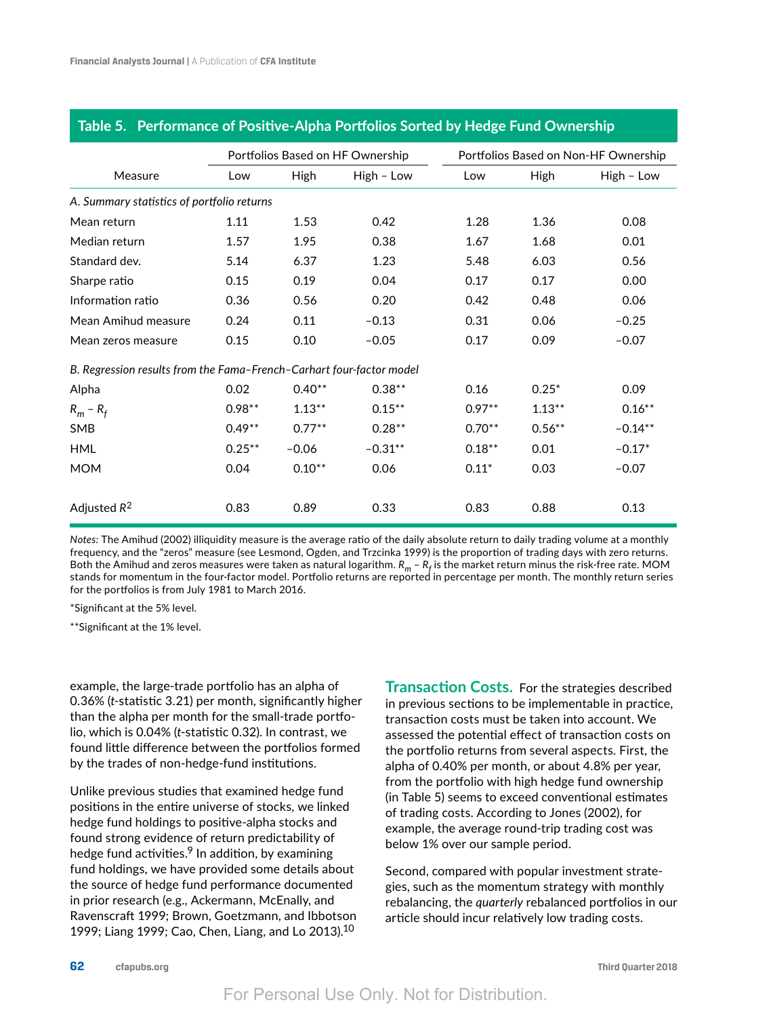|                                                                      | Portfolios Based on HF Ownership |             |            |           | Portfolios Based on Non-HF Ownership |            |  |
|----------------------------------------------------------------------|----------------------------------|-------------|------------|-----------|--------------------------------------|------------|--|
| Measure                                                              | Low                              | <b>High</b> | High - Low | Low       | High                                 | High - Low |  |
| A. Summary statistics of portfolio returns                           |                                  |             |            |           |                                      |            |  |
| Mean return                                                          | 1.11                             | 1.53        | 0.42       | 1.28      | 1.36                                 | 0.08       |  |
| Median return                                                        | 1.57                             | 1.95        | 0.38       | 1.67      | 1.68                                 | 0.01       |  |
| Standard dev.                                                        | 5.14                             | 6.37        | 1.23       | 5.48      | 6.03                                 | 0.56       |  |
| Sharpe ratio                                                         | 0.15                             | 0.19        | 0.04       | 0.17      | 0.17                                 | 0.00       |  |
| Information ratio                                                    | 0.36                             | 0.56        | 0.20       | 0.42      | 0.48                                 | 0.06       |  |
| Mean Amihud measure                                                  | 0.24                             | 0.11        | $-0.13$    | 0.31      | 0.06                                 | $-0.25$    |  |
| Mean zeros measure                                                   | 0.15                             | 0.10        | $-0.05$    | 0.17      | 0.09                                 | $-0.07$    |  |
| B. Regression results from the Fama-French-Carhart four-factor model |                                  |             |            |           |                                      |            |  |
| Alpha                                                                | 0.02                             | $0.40**$    | $0.38**$   | 0.16      | $0.25*$                              | 0.09       |  |
| $R_m - R_f$                                                          | $0.98**$                         | $1.13***$   | $0.15***$  | $0.97**$  | $1.13***$                            | $0.16**$   |  |
| SMB                                                                  | $0.49**$                         | $0.77***$   | $0.28**$   | $0.70**$  | $0.56***$                            | $-0.14**$  |  |
| <b>HML</b>                                                           | $0.25***$                        | $-0.06$     | $-0.31**$  | $0.18***$ | 0.01                                 | $-0.17*$   |  |
| <b>MOM</b>                                                           | 0.04                             | $0.10**$    | 0.06       | $0.11*$   | 0.03                                 | $-0.07$    |  |
| Adjusted $R^2$                                                       | 0.83                             | 0.89        | 0.33       | 0.83      | 0.88                                 | 0.13       |  |

#### **Table 5. Performance of Positive-Alpha Portfolios Sorted by Hedge Fund Ownership**

*Notes:* The Amihud (2002) illiquidity measure is the average ratio of the daily absolute return to daily trading volume at a monthly frequency, and the "zeros" measure (see Lesmond, Ogden, and Trzcinka 1999) is the proportion of trading days with zero returns. Both the Amihud and zeros measures were taken as natural logarithm.  $R_m$  –  $R_f$  is the market return minus the risk-free rate. MOM stands for momentum in the four-factor model. Portfolio returns are reported in percentage per month. The monthly return series for the portfolios is from July 1981 to March 2016.

\*Significant at the 5% level.

\*\*Significant at the 1% level.

example, the large-trade portfolio has an alpha of 0.36% (*t*-statistic 3.21) per month, significantly higher than the alpha per month for the small-trade portfolio, which is 0.04% (*t*-statistic 0.32). In contrast, we found little difference between the portfolios formed by the trades of non-hedge-fund institutions.

Unlike previous studies that examined hedge fund positions in the entire universe of stocks, we linked hedge fund holdings to positive-alpha stocks and found strong evidence of return predictability of hedge fund activities.<sup>9</sup> In addition, by examining fund holdings, we have provided some details about the source of hedge fund performance documented in prior research (e.g., Ackermann, McEnally, and Ravenscraft 1999; Brown, Goetzmann, and Ibbotson 1999; Liang 1999; Cao, Chen, Liang, and Lo 2013).10

**Transaction Costs.** For the strategies described in previous sections to be implementable in practice, transaction costs must be taken into account. We assessed the potential effect of transaction costs on the portfolio returns from several aspects. First, the alpha of 0.40% per month, or about 4.8% per year, from the portfolio with high hedge fund ownership (in Table 5) seems to exceed conventional estimates of trading costs. According to Jones (2002), for example, the average round-trip trading cost was below 1% over our sample period.

Second, compared with popular investment strategies, such as the momentum strategy with monthly rebalancing, the *quarterly* rebalanced portfolios in our article should incur relatively low trading costs.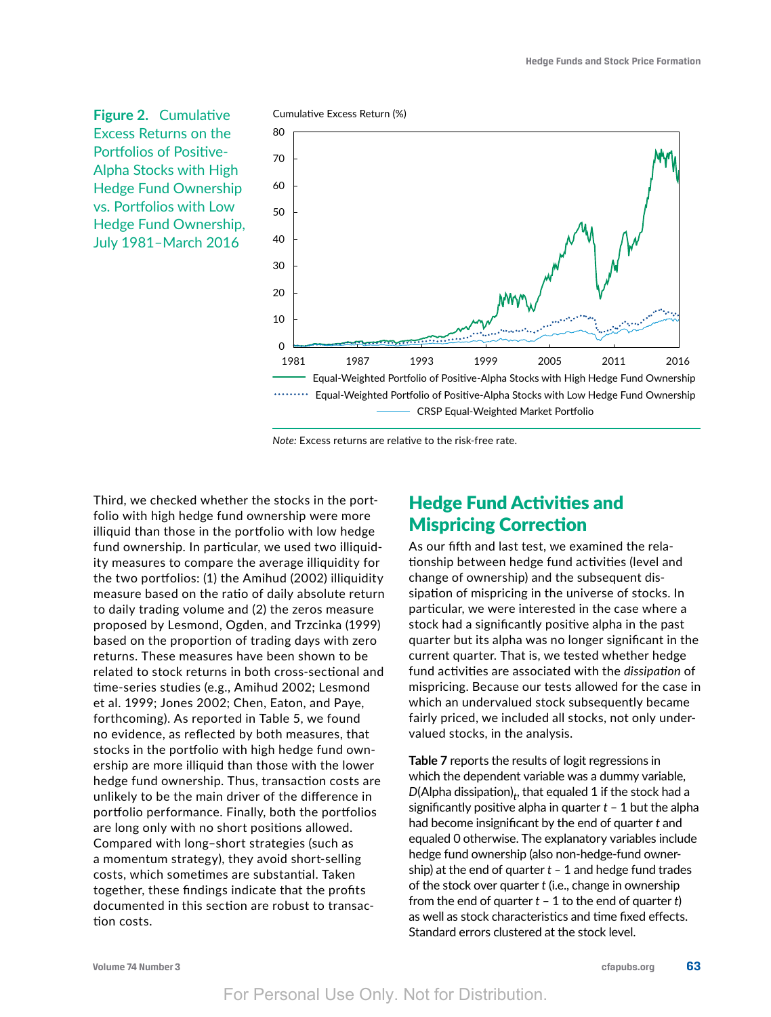**Figure 2.** Cumulative Excess Returns on the Portfolios of Positive-Alpha Stocks with High Hedge Fund Ownership vs. Portfolios with Low Hedge Fund Ownership, July 1981–March 2016



*Note:* Excess returns are relative to the risk-free rate.

Third, we checked whether the stocks in the portfolio with high hedge fund ownership were more illiquid than those in the portfolio with low hedge fund ownership. In particular, we used two illiquidity measures to compare the average illiquidity for the two portfolios: (1) the Amihud (2002) illiquidity measure based on the ratio of daily absolute return to daily trading volume and (2) the zeros measure proposed by Lesmond, Ogden, and Trzcinka (1999) based on the proportion of trading days with zero returns. These measures have been shown to be related to stock returns in both cross-sectional and time-series studies (e.g., Amihud 2002; Lesmond et al. 1999; Jones 2002; Chen, Eaton, and Paye, forthcoming). As reported in Table 5, we found no evidence, as reflected by both measures, that stocks in the portfolio with high hedge fund ownership are more illiquid than those with the lower hedge fund ownership. Thus, transaction costs are unlikely to be the main driver of the difference in portfolio performance. Finally, both the portfolios are long only with no short positions allowed. Compared with long–short strategies (such as a momentum strategy), they avoid short-selling costs, which sometimes are substantial. Taken together, these findings indicate that the profits documented in this section are robust to transaction costs.

# Hedge Fund Activities and Mispricing Correction

As our fifth and last test, we examined the relationship between hedge fund activities (level and change of ownership) and the subsequent dissipation of mispricing in the universe of stocks. In particular, we were interested in the case where a stock had a significantly positive alpha in the past quarter but its alpha was no longer significant in the current quarter. That is, we tested whether hedge fund activities are associated with the *dissipation* of mispricing. Because our tests allowed for the case in which an undervalued stock subsequently became fairly priced, we included all stocks, not only undervalued stocks, in the analysis.

**Table 7** reports the results of logit regressions in which the dependent variable was a dummy variable,  $D(\mathsf{Alpha\,\,dissipation})_{t}$ , that equaled  $1$  if the stock had a significantly positive alpha in quarter *t* – 1 but the alpha had become insignificant by the end of quarter *t* and equaled 0 otherwise. The explanatory variables include hedge fund ownership (also non-hedge-fund ownership) at the end of quarter *t –* 1 and hedge fund trades of the stock over quarter *t* (i.e., change in ownership from the end of quarter *t* – 1 to the end of quarter *t*) as well as stock characteristics and time fixed effects. Standard errors clustered at the stock level.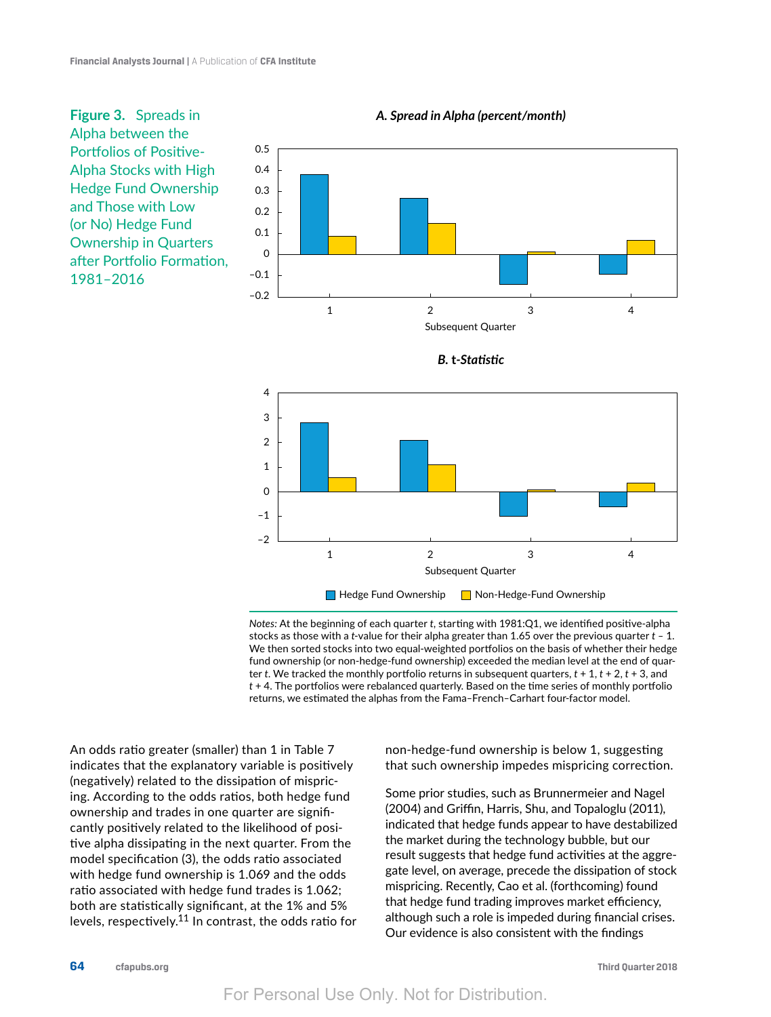**Figure 3.** Spreads in Alpha between the Portfolios of Positive-Alpha Stocks with High Hedge Fund Ownership and Those with Low (or No) Hedge Fund Ownership in Quarters after Portfolio Formation, 1981–2016







*Notes:* At the beginning of each quarter *t*, starting with 1981:Q1, we identified positive-alpha stocks as those with a *t*-value for their alpha greater than 1.65 over the previous quarter *t –* 1. We then sorted stocks into two equal-weighted portfolios on the basis of whether their hedge fund ownership (or non-hedge-fund ownership) exceeded the median level at the end of quarter *t*. We tracked the monthly portfolio returns in subsequent quarters, *t* + 1, *t* + 2, *t* + 3, and *t* + 4. The portfolios were rebalanced quarterly. Based on the time series of monthly portfolio returns, we estimated the alphas from the Fama*–*French*–*Carhart four-factor model.

An odds ratio greater (smaller) than 1 in Table 7 indicates that the explanatory variable is positively (negatively) related to the dissipation of mispricing. According to the odds ratios, both hedge fund ownership and trades in one quarter are significantly positively related to the likelihood of positive alpha dissipating in the next quarter. From the model specification (3), the odds ratio associated with hedge fund ownership is 1.069 and the odds ratio associated with hedge fund trades is 1.062; both are statistically significant, at the 1% and 5% levels, respectively.11 In contrast, the odds ratio for non-hedge-fund ownership is below 1, suggesting that such ownership impedes mispricing correction.

Some prior studies, such as Brunnermeier and Nagel (2004) and Griffin, Harris, Shu, and Topaloglu (2011), indicated that hedge funds appear to have destabilized the market during the technology bubble, but our result suggests that hedge fund activities at the aggregate level, on average, precede the dissipation of stock mispricing. Recently, Cao et al. (forthcoming) found that hedge fund trading improves market efficiency, although such a role is impeded during financial crises. Our evidence is also consistent with the findings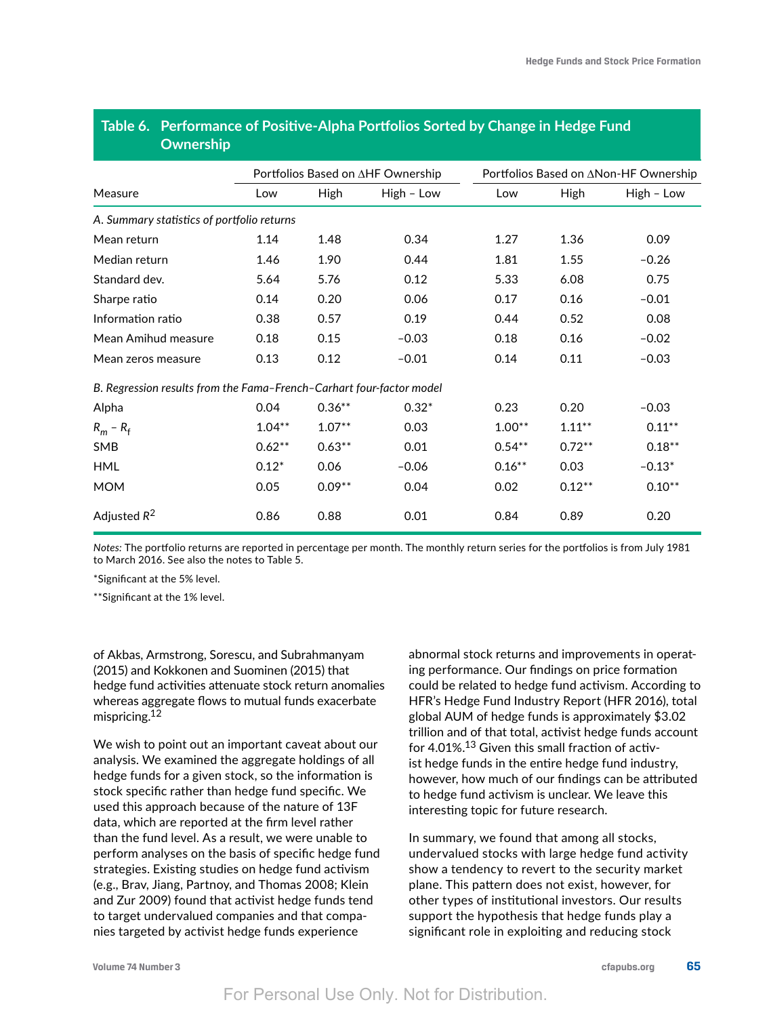| Ownership                                                            |          |                                   |            |           |                                       |            |  |
|----------------------------------------------------------------------|----------|-----------------------------------|------------|-----------|---------------------------------------|------------|--|
|                                                                      |          | Portfolios Based on ∆HF Ownership |            |           | Portfolios Based on ∆Non-HF Ownership |            |  |
| Measure                                                              | Low      | High                              | High - Low | Low       | High                                  | High - Low |  |
| A. Summary statistics of portfolio returns                           |          |                                   |            |           |                                       |            |  |
| Mean return                                                          | 1.14     | 1.48                              | 0.34       | 1.27      | 1.36                                  | 0.09       |  |
| Median return                                                        | 1.46     | 1.90                              | 0.44       | 1.81      | 1.55                                  | $-0.26$    |  |
| Standard dev.                                                        | 5.64     | 5.76                              | 0.12       | 5.33      | 6.08                                  | 0.75       |  |
| Sharpe ratio                                                         | 0.14     | 0.20                              | 0.06       | 0.17      | 0.16                                  | $-0.01$    |  |
| Information ratio                                                    | 0.38     | 0.57                              | 0.19       | 0.44      | 0.52                                  | 0.08       |  |
| Mean Amihud measure                                                  | 0.18     | 0.15                              | $-0.03$    | 0.18      | 0.16                                  | $-0.02$    |  |
| Mean zeros measure                                                   | 0.13     | 0.12                              | $-0.01$    | 0.14      | 0.11                                  | $-0.03$    |  |
| B. Regression results from the Fama-French-Carhart four-factor model |          |                                   |            |           |                                       |            |  |
| Alpha                                                                | 0.04     | $0.36**$                          | $0.32*$    | 0.23      | 0.20                                  | $-0.03$    |  |
| $R_m - R_f$                                                          | $1.04**$ | $1.07**$                          | 0.03       | $1.00**$  | $1.11***$                             | $0.11***$  |  |
| <b>SMB</b>                                                           | $0.62**$ | $0.63**$                          | 0.01       | $0.54***$ | $0.72**$                              | $0.18**$   |  |
| <b>HML</b>                                                           | $0.12*$  | 0.06                              | $-0.06$    | $0.16**$  | 0.03                                  | $-0.13*$   |  |
| <b>MOM</b>                                                           | 0.05     | $0.09**$                          | 0.04       | 0.02      | $0.12***$                             | $0.10**$   |  |
| Adjusted $R^2$                                                       | 0.86     | 0.88                              | 0.01       | 0.84      | 0.89                                  | 0.20       |  |

# **Table 6. Performance of Positive-Alpha Portfolios Sorted by Change in Hedge Fund Ownership**

*Notes:* The portfolio returns are reported in percentage per month. The monthly return series for the portfolios is from July 1981 to March 2016. See also the notes to Table 5.

\*Significant at the 5% level.

\*\*Significant at the 1% level.

of Akbas, Armstrong, Sorescu, and Subrahmanyam (2015) and Kokkonen and Suominen (2015) that hedge fund activities attenuate stock return anomalies whereas aggregate flows to mutual funds exacerbate mispricing.12

We wish to point out an important caveat about our analysis. We examined the aggregate holdings of all hedge funds for a given stock, so the information is stock specific rather than hedge fund specific. We used this approach because of the nature of 13F data, which are reported at the firm level rather than the fund level. As a result, we were unable to perform analyses on the basis of specific hedge fund strategies. Existing studies on hedge fund activism (e.g., Brav, Jiang, Partnoy, and Thomas 2008; Klein and Zur 2009) found that activist hedge funds tend to target undervalued companies and that companies targeted by activist hedge funds experience

abnormal stock returns and improvements in operating performance. Our findings on price formation could be related to hedge fund activism. According to HFR's Hedge Fund Industry Report (HFR 2016), total global AUM of hedge funds is approximately \$3.02 trillion and of that total, activist hedge funds account for 4.01%.13 Given this small fraction of activist hedge funds in the entire hedge fund industry, however, how much of our findings can be attributed to hedge fund activism is unclear. We leave this interesting topic for future research.

In summary, we found that among all stocks, undervalued stocks with large hedge fund activity show a tendency to revert to the security market plane. This pattern does not exist, however, for other types of institutional investors. Our results support the hypothesis that hedge funds play a significant role in exploiting and reducing stock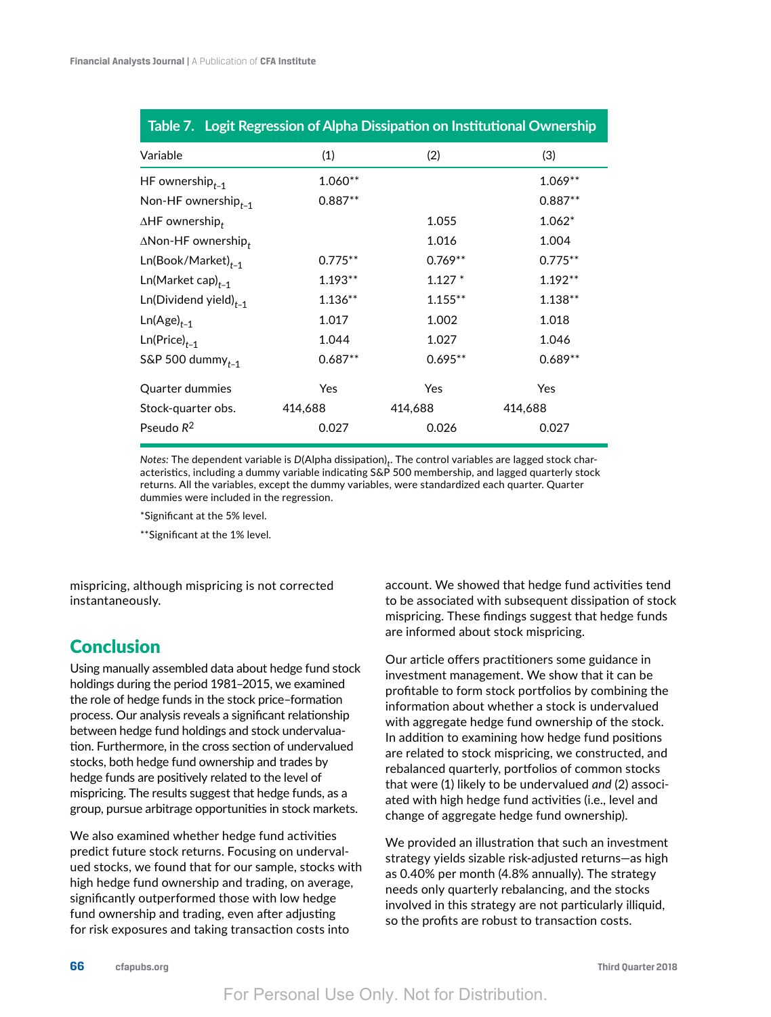| Table 7. Logit Regression of Alpha Dissipation on Institutional Ownership |           |            |           |
|---------------------------------------------------------------------------|-----------|------------|-----------|
| Variable                                                                  | (1)       | (2)        | (3)       |
| HF ownership $_{t-1}$                                                     | 1.060**   |            | $1.069**$ |
| Non-HF ownership $_{t-1}$                                                 | $0.887**$ |            | $0.887**$ |
| $\Delta H$ F ownership,                                                   |           | 1.055      | $1.062*$  |
| $\Delta$ Non-HF ownership $_t$                                            |           | 1.016      | 1.004     |
| $Ln(Book/Marker)_{t-1}$                                                   | $0.775**$ | $0.769**$  | $0.775**$ |
| $Ln(Marker cap)_{t-1}$                                                    | $1.193**$ | $1.127*$   | $1.192**$ |
| $Ln(Dividend yield)_{t-1}$                                                | $1.136**$ | $1.155***$ | $1.138**$ |
| $Ln(Age)_{t-1}$                                                           | 1.017     | 1.002      | 1.018     |
| $Ln(Price)_{t-1}$                                                         | 1.044     | 1.027      | 1.046     |
| S&P 500 dummy $_{t-1}$                                                    | $0.687**$ | $0.695**$  | $0.689**$ |
| Quarter dummies                                                           | Yes       | Yes        | Yes       |
| Stock-quarter obs.                                                        | 414,688   | 414,688    | 414,688   |
| Pseudo $R^2$                                                              | 0.027     | 0.026      | 0.027     |

 $\mathsf{Notes}\colon$  The dependent variable is  $\mathsf{D}(\mathsf{Alpha\;dissipation})_t.$  The control variables are lagged stock characteristics, including a dummy variable indicating S&P 500 membership, and lagged quarterly stock returns. All the variables, except the dummy variables, were standardized each quarter. Quarter dummies were included in the regression.

\*Significant at the 5% level.

\*\*Significant at the 1% level.

mispricing, although mispricing is not corrected instantaneously.

# Conclusion

Using manually assembled data about hedge fund stock holdings during the period 1981–2015, we examined the role of hedge funds in the stock price–formation process. Our analysis reveals a significant relationship between hedge fund holdings and stock undervaluation. Furthermore, in the cross section of undervalued stocks, both hedge fund ownership and trades by hedge funds are positively related to the level of mispricing. The results suggest that hedge funds, as a group, pursue arbitrage opportunities in stock markets.

We also examined whether hedge fund activities predict future stock returns. Focusing on undervalued stocks, we found that for our sample, stocks with high hedge fund ownership and trading, on average, significantly outperformed those with low hedge fund ownership and trading, even after adjusting for risk exposures and taking transaction costs into

account. We showed that hedge fund activities tend to be associated with subsequent dissipation of stock mispricing. These findings suggest that hedge funds are informed about stock mispricing.

Our article offers practitioners some guidance in investment management. We show that it can be profitable to form stock portfolios by combining the information about whether a stock is undervalued with aggregate hedge fund ownership of the stock. In addition to examining how hedge fund positions are related to stock mispricing, we constructed, and rebalanced quarterly, portfolios of common stocks that were (1) likely to be undervalued *and* (2) associated with high hedge fund activities (i.e., level and change of aggregate hedge fund ownership).

We provided an illustration that such an investment strategy yields sizable risk-adjusted returns—as high as 0.40% per month (4.8% annually). The strategy needs only quarterly rebalancing, and the stocks involved in this strategy are not particularly illiquid, so the profits are robust to transaction costs.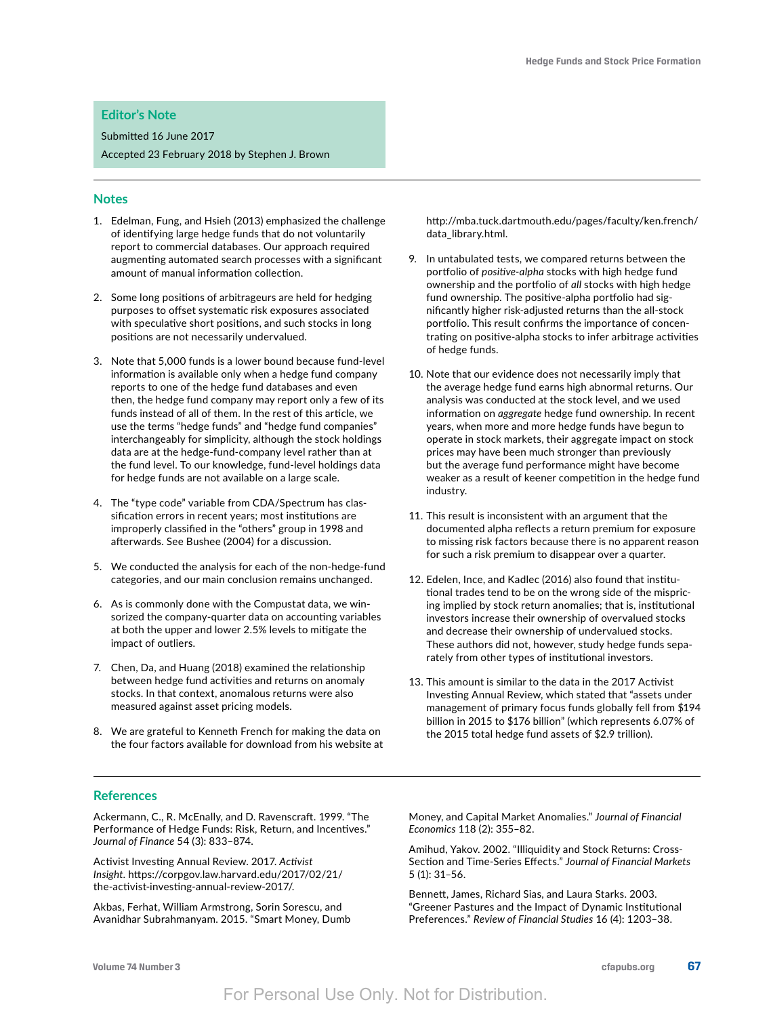#### **Editor's Note**

Submitted 16 June 2017

Accepted 23 February 2018 by Stephen J. Brown

#### **Notes**

- 1. Edelman, Fung, and Hsieh (2013) emphasized the challenge of identifying large hedge funds that do not voluntarily report to commercial databases. Our approach required augmenting automated search processes with a significant amount of manual information collection.
- 2. Some long positions of arbitrageurs are held for hedging purposes to offset systematic risk exposures associated with speculative short positions, and such stocks in long positions are not necessarily undervalued.
- 3. Note that 5,000 funds is a lower bound because fund-level information is available only when a hedge fund company reports to one of the hedge fund databases and even then, the hedge fund company may report only a few of its funds instead of all of them. In the rest of this article, we use the terms "hedge funds" and "hedge fund companies" interchangeably for simplicity, although the stock holdings data are at the hedge-fund-company level rather than at the fund level. To our knowledge, fund-level holdings data for hedge funds are not available on a large scale.
- 4. The "type code" variable from CDA/Spectrum has classification errors in recent years; most institutions are improperly classified in the "others" group in 1998 and afterwards. See Bushee (2004) for a discussion.
- 5. We conducted the analysis for each of the non-hedge-fund categories, and our main conclusion remains unchanged.
- 6. As is commonly done with the Compustat data, we winsorized the company-quarter data on accounting variables at both the upper and lower 2.5% levels to mitigate the impact of outliers.
- 7. Chen, Da, and Huang (2018) examined the relationship between hedge fund activities and returns on anomaly stocks. In that context, anomalous returns were also measured against asset pricing models.
- 8. We are grateful to Kenneth French for making the data on the four factors available for download from his website at

[http://mba.tuck.dartmouth.edu/pages/faculty/ken.french/](http://mba.tuck.dartmouth.edu/pages/faculty/ken.french/data_library.html) [data\\_library.html](http://mba.tuck.dartmouth.edu/pages/faculty/ken.french/data_library.html).

- 9. In untabulated tests, we compared returns between the portfolio of *positive-alpha* stocks with high hedge fund ownership and the portfolio of *all* stocks with high hedge fund ownership. The positive-alpha portfolio had significantly higher risk-adjusted returns than the all-stock portfolio. This result confirms the importance of concentrating on positive-alpha stocks to infer arbitrage activities of hedge funds.
- 10. Note that our evidence does not necessarily imply that the average hedge fund earns high abnormal returns. Our analysis was conducted at the stock level, and we used information on *aggregate* hedge fund ownership. In recent years, when more and more hedge funds have begun to operate in stock markets, their aggregate impact on stock prices may have been much stronger than previously but the average fund performance might have become weaker as a result of keener competition in the hedge fund industry.
- 11. This result is inconsistent with an argument that the documented alpha reflects a return premium for exposure to missing risk factors because there is no apparent reason for such a risk premium to disappear over a quarter.
- 12. Edelen, Ince, and Kadlec (2016) also found that institutional trades tend to be on the wrong side of the mispricing implied by stock return anomalies; that is, institutional investors increase their ownership of overvalued stocks and decrease their ownership of undervalued stocks. These authors did not, however, study hedge funds separately from other types of institutional investors.
- 13. This amount is similar to the data in the 2017 Activist Investing Annual Review, which stated that "assets under management of primary focus funds globally fell from \$194 billion in 2015 to \$176 billion" (which represents 6.07% of the 2015 total hedge fund assets of \$2.9 trillion).

#### **References**

Ackermann, C., R. McEnally, and D. Ravenscraft. 1999. "The Performance of Hedge Funds: Risk, Return, and Incentives." *Journal of Finance* 54 (3): 833–874.

Activist Investing Annual Review. 2017. *Activist Insight*. https://corpgov.law.harvard.edu/2017/02/21/ the-activist-investing-annual-review-2017/.

Akbas, Ferhat, William Armstrong, Sorin Sorescu, and Avanidhar Subrahmanyam. 2015. "Smart Money, Dumb Money, and Capital Market Anomalies." *Journal of Financial Economics* 118 (2): 355–82.

Amihud, Yakov. 2002. "Illiquidity and Stock Returns: Cross-Section and Time-Series Effects." *Journal of Financial Markets* 5 (1): 31–56.

Bennett, James, Richard Sias, and Laura Starks. 2003. "Greener Pastures and the Impact of Dynamic Institutional Preferences." *Review of Financial Studies* 16 (4): 1203–38.